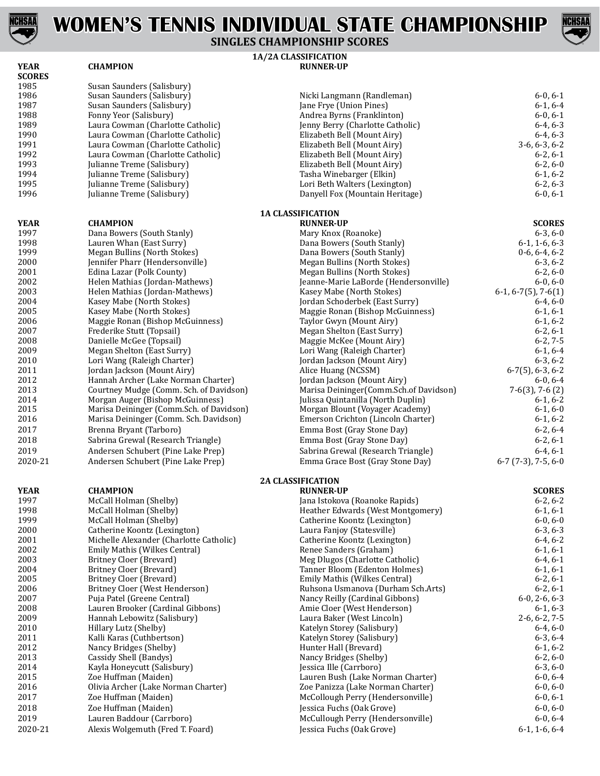



**1A/2A CLASSIFICATION SINGLES CHAMPIONSHIP SCORES**

| <b>YEAR</b>   | <b>CHAMPION</b>                                                        | <b>RUNNER-UP</b>                                                      |                                   |
|---------------|------------------------------------------------------------------------|-----------------------------------------------------------------------|-----------------------------------|
| <b>SCORES</b> |                                                                        |                                                                       |                                   |
| 1985          | Susan Saunders (Salisbury)                                             |                                                                       |                                   |
| 1986          | Susan Saunders (Salisbury)                                             | Nicki Langmann (Randleman)                                            | $6-0, 6-1$                        |
| 1987          | Susan Saunders (Salisbury)                                             | Jane Frye (Union Pines)                                               | $6-1, 6-4$                        |
| 1988<br>1989  | Fonny Yeor (Salisbury)                                                 | Andrea Byrns (Franklinton)                                            | $6-0, 6-1$<br>$6-4, 6-3$          |
|               | Laura Cowman (Charlotte Catholic)                                      | Jenny Berry (Charlotte Catholic)                                      |                                   |
| 1990<br>1991  | Laura Cowman (Charlotte Catholic)                                      | Elizabeth Bell (Mount Airy)                                           | $6-4, 6-3$                        |
| 1992          | Laura Cowman (Charlotte Catholic)<br>Laura Cowman (Charlotte Catholic) | Elizabeth Bell (Mount Airy)                                           | $3-6, 6-3, 6-2$                   |
| 1993          | Julianne Treme (Salisbury)                                             | Elizabeth Bell (Mount Airy)<br>Elizabeth Bell (Mount Airy)            | $6-2, 6-1$<br>$6-2, 6-0$          |
| 1994          | Julianne Treme (Salisbury)                                             | Tasha Winebarger (Elkin)                                              | $6-1, 6-2$                        |
| 1995          | Julianne Treme (Salisbury)                                             | Lori Beth Walters (Lexington)                                         | $6-2, 6-3$                        |
| 1996          | Julianne Treme (Salisbury)                                             | Danyell Fox (Mountain Heritage)                                       | $6-0, 6-1$                        |
|               |                                                                        | <b>1A CLASSIFICATION</b>                                              |                                   |
| <b>YEAR</b>   | <b>CHAMPION</b>                                                        | <b>RUNNER-UP</b>                                                      | <b>SCORES</b>                     |
| 1997          | Dana Bowers (South Stanly)                                             | Mary Knox (Roanoke)                                                   | $6-3, 6-0$                        |
| 1998          | Lauren Whan (East Surry)                                               | Dana Bowers (South Stanly)                                            | $6-1$ , 1 $-6$ , 6 $-3$           |
| 1999          | Megan Bullins (North Stokes)                                           | Dana Bowers (South Stanly)                                            | $0-6, 6-4, 6-2$                   |
| 2000          | Jennifer Pharr (Hendersonville)                                        | Megan Bullins (North Stokes)                                          | $6-3, 6-2$                        |
| 2001          | Edina Lazar (Polk County)                                              | Megan Bullins (North Stokes)                                          | $6-2, 6-0$                        |
| 2002          | Helen Mathias (Jordan-Mathews)                                         | Jeanne-Marie LaBorde (Hendersonville)                                 | $6-0, 6-0$                        |
| 2003          | Helen Mathias (Jordan-Mathews)                                         | Kasey Mabe (North Stokes)                                             | $6-1, 6-7(5)$ , 7 $-6(1)$         |
| 2004          | Kasey Mabe (North Stokes)                                              | Jordan Schoderbek (East Surry)                                        | $6-4, 6-0$                        |
| 2005          | Kasey Mabe (North Stokes)                                              | Maggie Ronan (Bishop McGuinness)                                      | $6-1, 6-1$                        |
| 2006          | Maggie Ronan (Bishop McGuinness)                                       | Taylor Gwyn (Mount Airy)                                              | $6-1, 6-2$                        |
| 2007          | Frederike Stutt (Topsail)                                              | Megan Shelton (East Surry)                                            | $6-2, 6-1$                        |
| 2008          | Danielle McGee (Topsail)                                               | Maggie McKee (Mount Airy)                                             | $6-2, 7-5$                        |
| 2009          | Megan Shelton (East Surry)                                             | Lori Wang (Raleigh Charter)                                           | $6-1, 6-4$                        |
| 2010          | Lori Wang (Raleigh Charter)                                            | Jordan Jackson (Mount Airy)                                           | $6-3, 6-2$                        |
| 2011<br>2012  | Jordan Jackson (Mount Airy)<br>Hannah Archer (Lake Norman Charter)     | Alice Huang (NCSSM)                                                   | $6-7(5)$ , 6-3, 6-2               |
| 2013          | Courtney Mudge (Comm. Sch. of Davidson)                                | Jordan Jackson (Mount Airy)<br>Marisa Deininger(Comm.Sch.of Davidson) | $6-0, 6-4$                        |
| 2014          | Morgan Auger (Bishop McGuinness)                                       | Julissa Quintanilla (North Duplin)                                    | $7-6(3)$ , $7-6(2)$<br>$6-1, 6-2$ |
| 2015          | Marisa Deininger (Comm.Sch. of Davidson)                               | Morgan Blount (Voyager Academy)                                       | $6-1, 6-0$                        |
| 2016          | Marisa Deininger (Comm. Sch. Davidson)                                 | Emerson Crichton (Lincoln Charter)                                    | $6-1, 6-2$                        |
| 2017          | Brenna Bryant (Tarboro)                                                | Emma Bost (Gray Stone Day)                                            | $6-2, 6-4$                        |
| 2018          | Sabrina Grewal (Research Triangle)                                     | Emma Bost (Gray Stone Day)                                            | $6-2, 6-1$                        |
|               |                                                                        |                                                                       |                                   |
| 2019          | Andersen Schubert (Pine Lake Prep)                                     | Sabrina Grewal (Research Triangle)                                    | $6-4, 6-1$                        |
| 2020-21       | Andersen Schubert (Pine Lake Prep)                                     | Emma Grace Bost (Gray Stone Day)                                      | $6-7$ (7-3), 7-5, 6-0             |
| <b>YEAR</b>   | <b>CHAMPION</b>                                                        | <b>2A CLASSIFICATION</b><br><b>RUNNER-UP</b>                          | <b>SCORES</b>                     |
| 1997          | McCall Holman (Shelby)                                                 | Jana Istokova (Roanoke Rapids)                                        | $6-2, 6-2$                        |
| 1998          | McCall Holman (Shelby)                                                 | Heather Edwards (West Montgomery)                                     | $6-1, 6-1$                        |
| 1999          | McCall Holman (Shelby)                                                 | Catherine Koontz (Lexington)                                          | $6-0, 6-0$                        |
| 2000          | Catherine Koontz (Lexington)                                           | Laura Fanjoy (Statesville)                                            | $6-3, 6-3$                        |
| 2001          | Michelle Alexander (Charlotte Catholic)                                | Catherine Koontz (Lexington)                                          | $6-4, 6-2$                        |
| 2002          | Emily Mathis (Wilkes Central)                                          | Renee Sanders (Graham)                                                | $6-1, 6-1$                        |
| 2003          | Britney Cloer (Brevard)                                                | Meg Dlugos (Charlotte Catholic)                                       | $6-4, 6-1$                        |
| 2004          | Britney Cloer (Brevard)                                                | Tanner Bloom (Edenton Holmes)                                         | $6-1, 6-1$                        |
| 2005          | Britney Cloer (Brevard)                                                | Emily Mathis (Wilkes Central)                                         | $6-2, 6-1$                        |
| 2006          | Britney Cloer (West Henderson)                                         | Ruhsona Usmanova (Durham Sch.Arts)                                    | $6-2, 6-1$                        |
| 2007          | Puja Patel (Greene Central)                                            | Nancy Reilly (Cardinal Gibbons)                                       | $6-0$ , 2-6, 6-3                  |
| 2008          | Lauren Brooker (Cardinal Gibbons)                                      | Amie Cloer (West Henderson)                                           | $6-1, 6-3$                        |
| 2009          | Hannah Lebowitz (Salisbury)                                            | Laura Baker (West Lincoln)                                            | $2-6, 6-2, 7-5$                   |
| 2010          | Hillary Lutz (Shelby)                                                  | Katelyn Storey (Salisbury)                                            | $6-4, 6-0$                        |
| 2011          | Kalli Karas (Cuthbertson)                                              | Katelyn Storey (Salisbury)                                            | $6-3, 6-4$                        |
| 2012          | Nancy Bridges (Shelby)                                                 | Hunter Hall (Brevard)                                                 | $6-1, 6-2$                        |
| 2013          | Cassidy Shell (Bandys)                                                 | Nancy Bridges (Shelby)                                                | $6-2, 6-0$                        |
| 2014          | Kayla Honeycutt (Salisbury)                                            | Jessica Ille (Carrboro)                                               | $6-3, 6-0$                        |
| 2015          | Zoe Huffman (Maiden)                                                   | Lauren Bush (Lake Norman Charter)                                     | $6-0, 6-4$                        |
| 2016          | Olivia Archer (Lake Norman Charter)                                    | Zoe Panizza (Lake Norman Charter)                                     | $6-0, 6-0$                        |
| 2017          | Zoe Huffman (Maiden)                                                   | McCollough Perry (Hendersonville)                                     | $6-0, 6-1$                        |
| 2018          | Zoe Huffman (Maiden)                                                   | Jessica Fuchs (Oak Grove)                                             | $6-0, 6-0$                        |
| 2019          | Lauren Baddour (Carrboro)                                              | McCullough Perry (Hendersonville)                                     | $6-0, 6-4$                        |
| 2020-21       | Alexis Wolgemuth (Fred T. Foard)                                       | Jessica Fuchs (Oak Grove)                                             | $6-1, 1-6, 6-4$                   |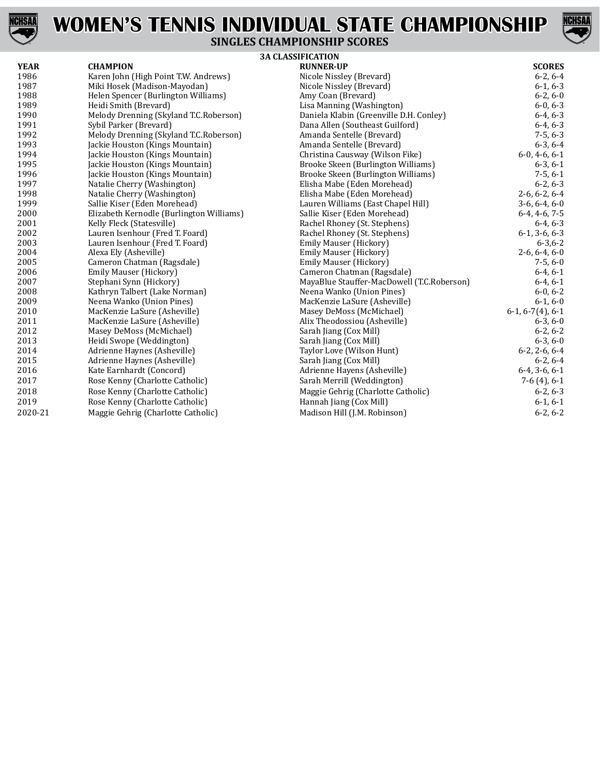



### **SINGLES CHAMPIONSHIP SCORES**

|             | <b>3A CLASSIFICATION</b>                 |                                            |                    |  |
|-------------|------------------------------------------|--------------------------------------------|--------------------|--|
| <b>YEAR</b> | <b>CHAMPION</b>                          | <b>RUNNER-UP</b>                           | <b>SCORES</b>      |  |
| 1986        | Karen John (High Point T.W. Andrews)     | Nicole Nissley (Brevard)                   | $6-2, 6-4$         |  |
| 1987        | Miki Hosek (Madison-Mayodan)             | Nicole Nissley (Brevard)                   | $6-1, 6-3$         |  |
| 1988        | Helen Spencer (Burlington Williams)      | Amy Coan (Brevard)                         | $6-2, 6-0$         |  |
| 1989        | Heidi Smith (Brevard)                    | Lisa Manning (Washington)                  | $6-0, 6-3$         |  |
| 1990        | Melody Drenning (Skyland T.C.Roberson)   | Daniela Klabin (Greenville D.H. Conley)    | $6-4, 6-3$         |  |
| 1991        | Sybil Parker (Brevard)                   | Dana Allen (Southeast Guilford)            | $6-4, 6-3$         |  |
| 1992        | Melody Drenning (Skyland T.C.Roberson)   | Amanda Sentelle (Brevard)                  | $7-5, 6-3$         |  |
| 1993        | Jackie Houston (Kings Mountain)          | Amanda Sentelle (Brevard)                  | $6-3, 6-4$         |  |
| 1994        | Jackie Houston (Kings Mountain)          | Christina Causway (Wilson Fike)            | $6-0, 4-6, 6-1$    |  |
| 1995        | Jackie Houston (Kings Mountain)          | Brooke Skeen (Burlington Williams)         | $6-3, 6-1$         |  |
| 1996        | Jackie Houston (Kings Mountain)          | Brooke Skeen (Burlington Williams)         | $7-5, 6-1$         |  |
| 1997        | Natalie Cherry (Washington)              | Elisha Mabe (Eden Morehead)                | $6-2, 6-3$         |  |
| 1998        | Natalie Cherry (Washington)              | Elisha Mabe (Eden Morehead)                | $2-6, 6-2, 6-4$    |  |
| 1999        | Sallie Kiser (Eden Morehead)             | Lauren Williams (East Chapel Hill)         | $3-6, 6-4, 6-0$    |  |
| 2000        | Elizabeth Kernodle (Burlington Williams) | Sallie Kiser (Eden Morehead)               | $6-4, 4-6, 7-5$    |  |
| 2001        | Kelly Fleck (Statesville)                | Rachel Rhoney (St. Stephens)               | $6-4, 6-3$         |  |
| 2002        | Lauren Isenhour (Fred T. Foard)          | Rachel Rhoney (St. Stephens)               | $6-1, 3-6, 6-3$    |  |
| 2003        | Lauren Isenhour (Fred T. Foard)          | Emily Mauser (Hickory)                     | $6 - 3, 6 - 2$     |  |
| 2004        | Alexa Ely (Asheville)                    | Emily Mauser (Hickory)                     | $2-6, 6-4, 6-0$    |  |
| 2005        | Cameron Chatman (Ragsdale)               | <b>Emily Mauser (Hickory)</b>              | $7-5, 6-0$         |  |
| 2006        | Emily Mauser (Hickory)                   | Cameron Chatman (Ragsdale)                 | $6-4, 6-1$         |  |
| 2007        | Stephani Synn (Hickory)                  | MayaBlue Stauffer-MacDowell (T.C.Roberson) | $6-4, 6-1$         |  |
| 2008        | Kathryn Talbert (Lake Norman)            | Neena Wanko (Union Pines)                  | $6-0, 6-2$         |  |
| 2009        | Neena Wanko (Union Pines)                | MacKenzie LaSure (Asheville)               | $6-1, 6-0$         |  |
| 2010        | MacKenzie LaSure (Asheville)             | Masey DeMoss (McMichael)                   | $6-1, 6-7(4), 6-1$ |  |
| 2011        | MacKenzie LaSure (Asheville)             | Alix Theodossiou (Asheville)               | $6-3, 6-0$         |  |
| 2012        | Masey DeMoss (McMichael)                 | Sarah Jiang (Cox Mill)                     | $6-2, 6-2$         |  |
| 2013        | Heidi Swope (Weddington)                 | Sarah Jiang (Cox Mill)                     | $6-3, 6-0$         |  |
| 2014        | Adrienne Haynes (Asheville)              | Taylor Love (Wilson Hunt)                  | $6-2, 2-6, 6-4$    |  |
| 2015        | Adrienne Haynes (Asheville)              | Sarah Jiang (Cox Mill)                     | $6-2, 6-4$         |  |
| 2016        | Kate Earnhardt (Concord)                 | Adrienne Hayens (Asheville)                | $6-4, 3-6, 6-1$    |  |
| 2017        | Rose Kenny (Charlotte Catholic)          | Sarah Merrill (Weddington)                 | $7-6(4)$ , 6-1     |  |
| 2018        | Rose Kenny (Charlotte Catholic)          | Maggie Gehrig (Charlotte Catholic)         | $6-2, 6-3$         |  |
| 2019        | Rose Kenny (Charlotte Catholic)          | Hannah Jiang (Cox Mill)                    | $6-1, 6-1$         |  |
| 2020-21     | Maggie Gehrig (Charlotte Catholic)       | Madison Hill (J.M. Robinson)               | $6-2, 6-2$         |  |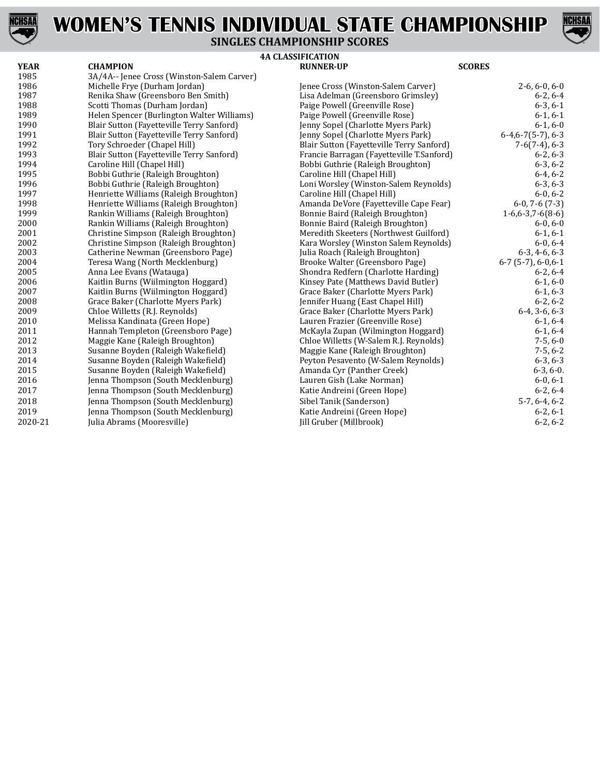



### **SINGLES CHAMPIONSHIP SCORES**

| YEAR    | <b>CHAMPION</b>                            | <b>RUNNER-UP</b>                          | <b>SCORES</b>          |
|---------|--------------------------------------------|-------------------------------------------|------------------------|
| 1985    | 3A/4A-- Jenee Cross (Winston-Salem Carver) |                                           |                        |
| 1986    | Michelle Frye (Durham Jordan)              | Jenee Cross (Winston-Salem Carver)        | $2-6, 6-0, 6-0$        |
| 1987    | Renika Shaw (Greensboro Ben Smith)         | Lisa Adelman (Greensboro Grimsley)        | $6-2, 6-4$             |
| 1988    | Scotti Thomas (Durham Jordan)              | Paige Powell (Greenville Rose)            | $6-3, 6-1$             |
| 1989    | Helen Spencer (Burlington Walter Williams) | Paige Powell (Greenville Rose)            | $6-1, 6-1$             |
| 1990    | Blair Sutton (Fayetteville Terry Sanford)  | Jenny Sopel (Charlotte Myers Park)        | $6-1, 6-0$             |
| 1991    | Blair Sutton (Fayetteville Terry Sanford)  | Jenny Sopel (Charlotte Myers Park)        | $6-4, 6-7(5-7), 6-3$   |
| 1992    | Tory Schroeder (Chapel Hill)               | Blair Sutton (Fayetteville Terry Sanford) | $7-6(7-4)$ , 6-3       |
| 1993    | Blair Sutton (Fayetteville Terry Sanford)  | Francie Barragan (Fayetteville T.Sanford) | $6-2, 6-3$             |
| 1994    | Caroline Hill (Chapel Hill)                | Bobbi Guthrie (Raleigh Broughton)         | $6-3, 6-2$             |
| 1995    | Bobbi Guthrie (Raleigh Broughton)          | Caroline Hill (Chapel Hill)               | $6-4, 6-2$             |
| 1996    | Bobbi Guthrie (Raleigh Broughton)          | Loni Worsley (Winston-Salem Reynolds)     | $6-3, 6-3$             |
| 1997    | Henriette Williams (Raleigh Broughton)     | Caroline Hill (Chapel Hill)               | $6-0, 6-2$             |
| 1998    | Henriette Williams (Raleigh Broughton)     | Amanda DeVore (Fayetteville Cape Fear)    | $6-0$ , 7 $-6(7-3)$    |
| 1999    | Rankin Williams (Raleigh Broughton)        | Bonnie Baird (Raleigh Broughton)          | $1-6, 6-3, 7-6(8-6)$   |
| 2000    | Rankin Williams (Raleigh Broughton)        | Bonnie Baird (Raleigh Broughton)          | $6-0, 6-0$             |
| 2001    | Christine Simpson (Raleigh Broughton)      | Meredith Skeeters (Northwest Guilford)    | $6-1, 6-1$             |
| 2002    | Christine Simpson (Raleigh Broughton)      | Kara Worsley (Winston Salem Reynolds)     | $6-0, 6-4$             |
| 2003    | Catherine Newman (Greensboro Page)         | Julia Roach (Raleigh Broughton)           | $6-3, 4-6, 6-3$        |
| 2004    | Teresa Wang (North Mecklenburg)            | Brooke Walter (Greensboro Page)           | $6-7$ (5-7), $6-0,6-1$ |
| 2005    | Anna Lee Evans (Watauga)                   | Shondra Redfern (Charlotte Harding)       | $6-2, 6-4$             |
| 2006    | Kaitlin Burns (Wiilmington Hoggard)        | Kinsey Pate (Matthews David Butler)       | $6-1, 6-0$             |
| 2007    | Kaitlin Burns (Wiilmington Hoggard)        | Grace Baker (Charlotte Myers Park)        | $6-1, 6-3$             |
| 2008    | Grace Baker (Charlotte Myers Park)         | Jennifer Huang (East Chapel Hill)         | $6-2, 6-2$             |
| 2009    | Chloe Willetts (R.J. Reynolds)             | Grace Baker (Charlotte Myers Park)        | $6-4, 3-6, 6-3$        |
| 2010    | Melissa Kandinata (Green Hope)             | Lauren Frazier (Greenville Rose)          | $6-1, 6-4$             |
| 2011    | Hannah Templeton (Greensboro Page)         | McKayla Zupan (Wilmington Hoggard)        | $6-1, 6-4$             |
| 2012    | Maggie Kane (Raleigh Broughton)            | Chloe Willetts (W-Salem R.J. Reynolds)    | $7-5, 6-0$             |
| 2013    | Susanne Boyden (Raleigh Wakefield)         | Maggie Kane (Raleigh Broughton)           | $7-5, 6-2$             |
| 2014    | Susanne Boyden (Raleigh Wakefield)         | Peyton Pesavento (W-Salem Reynolds)       | $6-3, 6-3$             |
| 2015    | Susanne Boyden (Raleigh Wakefield)         | Amanda Cyr (Panther Creek)                | $6-3, 6-0.$            |
| 2016    | Jenna Thompson (South Mecklenburg)         | Lauren Gish (Lake Norman)                 | $6-0, 6-1$             |
| 2017    | Jenna Thompson (South Mecklenburg)         | Katie Andreini (Green Hope)               | $6-2, 6-4$             |
| 2018    | Jenna Thompson (South Mecklenburg)         | Sibel Tanik (Sanderson)                   | $5-7, 6-4, 6-2$        |
| 2019    | Jenna Thompson (South Mecklenburg)         | Katie Andreini (Green Hope)               | $6-2, 6-1$             |
| 2020-21 | Julia Abrams (Mooresville)                 | [ill Gruber (Millbrook)                   | $6-2, 6-2$             |

| 1985    | 3A/4A-- Jenee Cross (Winston-Salem Carver) |                                           |                        |
|---------|--------------------------------------------|-------------------------------------------|------------------------|
| 1986    | Michelle Frye (Durham Jordan)              | Jenee Cross (Winston-Salem Carver)        | $2-6, 6-0, 6-0$        |
| 1987    | Renika Shaw (Greensboro Ben Smith)         | Lisa Adelman (Greensboro Grimsley)        | $6-2, 6-4$             |
| 1988    | Scotti Thomas (Durham Jordan)              | Paige Powell (Greenville Rose)            | $6-3, 6-1$             |
| 1989    | Helen Spencer (Burlington Walter Williams) | Paige Powell (Greenville Rose)            | $6-1, 6-1$             |
| 1990    | Blair Sutton (Fayetteville Terry Sanford)  | Jenny Sopel (Charlotte Myers Park)        | $6-1, 6-0$             |
| 1991    | Blair Sutton (Fayetteville Terry Sanford)  | Jenny Sopel (Charlotte Myers Park)        | $6-4, 6-7(5-7), 6-3$   |
| 1992    | Tory Schroeder (Chapel Hill)               | Blair Sutton (Fayetteville Terry Sanford) | $7-6(7-4)$ , 6-3       |
| 1993    | Blair Sutton (Fayetteville Terry Sanford)  | Francie Barragan (Fayetteville T.Sanford) | $6-2, 6-3$             |
| 1994    | Caroline Hill (Chapel Hill)                | Bobbi Guthrie (Raleigh Broughton)         | $6-3, 6-2$             |
| 1995    | Bobbi Guthrie (Raleigh Broughton)          | Caroline Hill (Chapel Hill)               | $6-4, 6-2$             |
| 1996    | Bobbi Guthrie (Raleigh Broughton)          | Loni Worsley (Winston-Salem Reynolds)     | $6-3, 6-3$             |
| 1997    | Henriette Williams (Raleigh Broughton)     | Caroline Hill (Chapel Hill)               | $6-0, 6-2$             |
| 1998    | Henriette Williams (Raleigh Broughton)     | Amanda DeVore (Fayetteville Cape Fear)    | $6-0$ , 7 $-6(7-3)$    |
| 1999    | Rankin Williams (Raleigh Broughton)        | Bonnie Baird (Raleigh Broughton)          | $1-6, 6-3, 7-6(8-6)$   |
| 2000    | Rankin Williams (Raleigh Broughton)        | Bonnie Baird (Raleigh Broughton)          | $6-0, 6-0$             |
| 2001    | Christine Simpson (Raleigh Broughton)      | Meredith Skeeters (Northwest Guilford)    | $6-1, 6-1$             |
| 2002    | Christine Simpson (Raleigh Broughton)      | Kara Worsley (Winston Salem Reynolds)     | $6-0, 6-4$             |
| 2003    | Catherine Newman (Greensboro Page)         | Julia Roach (Raleigh Broughton)           | $6-3, 4-6, 6-3$        |
| 2004    | Teresa Wang (North Mecklenburg)            | Brooke Walter (Greensboro Page)           | $6-7$ (5-7), $6-0,6-1$ |
| 2005    | Anna Lee Evans (Watauga)                   | Shondra Redfern (Charlotte Harding)       | $6-2, 6-4$             |
| 2006    | Kaitlin Burns (Wiilmington Hoggard)        | Kinsey Pate (Matthews David Butler)       | $6-1, 6-0$             |
| 2007    | Kaitlin Burns (Wiilmington Hoggard)        | Grace Baker (Charlotte Myers Park)        | $6-1, 6-3$             |
| 2008    | Grace Baker (Charlotte Myers Park)         | Jennifer Huang (East Chapel Hill)         | $6-2, 6-2$             |
| 2009    | Chloe Willetts (R.J. Reynolds)             | Grace Baker (Charlotte Myers Park)        | $6-4, 3-6, 6-3$        |
| 2010    | Melissa Kandinata (Green Hope)             | Lauren Frazier (Greenville Rose)          | $6-1, 6-4$             |
| 2011    | Hannah Templeton (Greensboro Page)         | McKayla Zupan (Wilmington Hoggard)        | $6-1, 6-4$             |
| 2012    | Maggie Kane (Raleigh Broughton)            | Chloe Willetts (W-Salem R.J. Reynolds)    | $7-5, 6-0$             |
| 2013    | Susanne Boyden (Raleigh Wakefield)         | Maggie Kane (Raleigh Broughton)           | $7-5, 6-2$             |
| 2014    | Susanne Boyden (Raleigh Wakefield)         | Peyton Pesavento (W-Salem Reynolds)       | $6-3, 6-3$             |
| 2015    | Susanne Boyden (Raleigh Wakefield)         | Amanda Cyr (Panther Creek)                | $6-3, 6-0.$            |
| 2016    | Jenna Thompson (South Mecklenburg)         | Lauren Gish (Lake Norman)                 | $6-0, 6-1$             |
| 2017    | Jenna Thompson (South Mecklenburg)         | Katie Andreini (Green Hope)               | $6-2, 6-4$             |
| 2018    | Jenna Thompson (South Mecklenburg)         | Sibel Tanik (Sanderson)                   | $5-7, 6-4, 6-2$        |
| 2019    | Jenna Thompson (South Mecklenburg)         | Katie Andreini (Green Hope)               | $6-2, 6-1$             |
| 2020-21 | Julia Abrams (Mooresville)                 | [ill Gruber (Millbrook)                   | $6-2, 6-2$             |
|         |                                            |                                           |                        |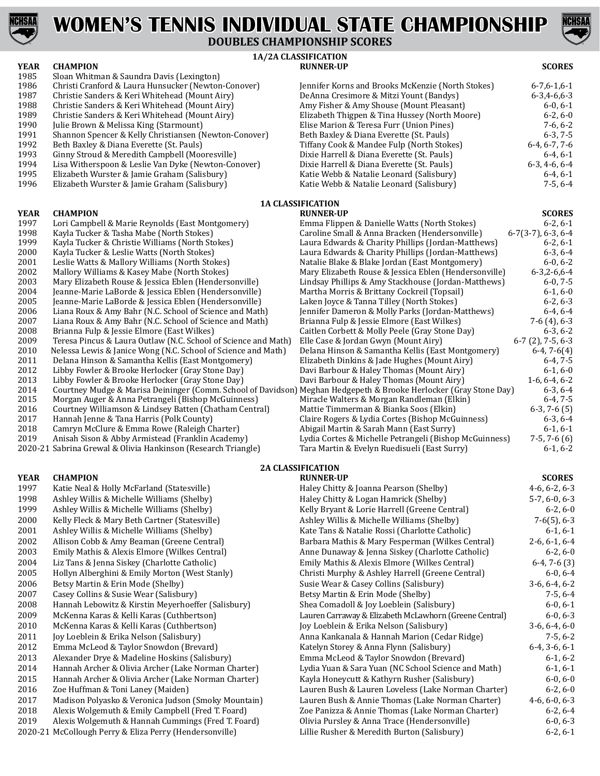



## **DOUBLES CHAMPIONSHIP SCORES**

- 1985 Sloan Whitman & Saundra Davis (Lexington)<br>1986 Christi Cranford & Laura Hunsucker (Newtor
- 1986 Christi Cranford & Laura Hunsucker (Newton-Conover)<br>1987 Christie Sanders & Keri Whitehead (Mount Airy)
- 1987 Christie Sanders & Keri Whitehead (Mount Airy)<br>1988 Christie Sanders & Keri Whitehead (Mount Airy)
- 1988 Christie Sanders & Keri Whitehead (Mount Airy) Amy Fisher & Amy Shouse (Mount Pleasant) 6-0, 6-1
- 1989 Christie Sanders & Keri Whitehead (Mount Airy)<br>1990 Iulie Brown & Melissa King (Starmount)
- 1990 Julie Brown & Melissa King (Starmount)<br>1991 Shannon Spencer & Kelly Christiansen (N
- 1991 Shannon Spencer & Kelly Christiansen (Newton-Conover) Shannon Spencer & Kelly Christiansen (Newton-Conover
- 1992 Beth Baxley & Diana Everette (St. Pauls)<br>1993 Ginny Stroud & Meredith Campbell (Moc
- 1993 Ginny Stroud & Meredith Campbell (Mooresville) Ginny Stroud & Meredith Campbell (Mooresville)
- 1994 Lisa Witherspoon & Leslie Van Dyke (Newton-Conover)<br>1995 Blizabeth Wurster & Jamie Graham (Salisbury)
- 1995 Elizabeth Wurster & Jamie Graham (Salisbury)<br>1996 Elizabeth Wurster & Jamie Graham (Salisbury)
- Elizabeth Wurster & Jamie Graham (Salisbury)

- 1997 Lori Campbell & Marie Reynolds (East Montgomery)<br>1998 Kayla Tucker & Tasha Mabe (North Stokes)
- 1998 Kayla Tucker & Tasha Mabe (North Stokes)<br>1999 Kayla Tucker & Christie Williams (North St
- 1999 Kayla Tucker & Christie Williams (North Stokes)<br>2000 Kayla Tucker & Leslie Watts (North Stokes)
- 2000 Kayla Tucker & Leslie Watts (North Stokes)<br>2001 Leslie Watts & Mallory Williams (North Sto)
- 2001 Leslie Watts & Mallory Williams (North Stokes) 2002 Mallory Williams & Base Wabe (North Stokes)
- 2002 Mallory Williams & Kasey Mabe (North Stokes)<br>2003 Mary Elizabeth Rouse & Jessica Eblen (Henders
- 
- 2003 Mary Elizabeth Rouse & Jessica Eblen (Hendersonville)<br>2004 Deanne-Marie LaBorde & Jessica Eblen (Hendersonville) 2004 Jeanne-Marie LaBorde & Jessica Eblen (Hendersonville)<br>2005 Jeanne-Marie LaBorde & Jessica Eblen (Hendersonville)
- 2005 Jeanne-Marie LaBorde & Jessica Eblen (Hendersonville)<br>2006 Liana Roux & Amy Bahr (N.C. School of Science and Matl
- 2006 Liana Roux & Amy Bahr (N.C. School of Science and Math)<br>2007 Liana Roux & Amy Bahr (N.C. School of Science and Math)
- 2007 Liana Roux & Amy Bahr (N.C. School of Science and Math)<br>2008 Brianna Fulp & Jessie Elmore (East Wilkes)
- 2008 Brianna Fulp & Jessie Elmore (East Wilkes)<br>2009 Teresa Pincus & Laura Outlaw (N.C. School
- 2009 Teresa Pincus & Laura Outlaw (N.C. School of Science and Math)<br>2010 Nelessa Lewis & Janice Wong (N.C. School of Science and Math)
- 2010 Nelessa Lewis & Janice Wong (N.C. School of Science and Math)<br>2011 Delana Hinson & Samantha Kellis (East Montgomery)
- 2011 Delana Hinson & Samantha Kellis (East Montgomery)<br>2012 Libby Fowler & Brooke Herlocker (Gray Stone Day)
- 2012 Libby Fowler & Brooke Herlocker (Gray Stone Day)<br>2013 Libby Fowler & Brooke Herlocker (Gray Stone Day)
- 2013 Libby Fowler & Brooke Herlocker (Gray Stone Day)<br>2014 Courtney Mudge & Marisa Deininger (Comm. Schoo
- 2014 Courtney Mudge & Marisa Deininger (Comm. School of Davidson<br>2015 Morgan Auger & Anna Petrangeli (Bishop McGuinness)
- 2015 Morgan Auger & Anna Petrangeli (Bishop McGuinness)<br>2016 Courtney Williamson & Lindsey Batten (Chatham Centr
- 2016 Courtney Williamson & Lindsey Batten (Chatham Central)<br>2017 Hannah Jenne & Tana Harris (Polk County)
- 2017 Hannah Jenne & Tana Harris (Polk County)<br>2018 Camryn McClure & Emma Rowe (Raleigh Cl
- 2018 Camryn McClure & Emma Rowe (Raleigh Charter)<br>2019 Anisah Sison & Abby Armistead (Franklin Academ Anisah Sison & Abby Armistead (Franklin Academy)
- 2020-21 Sabrina Grewal & Olivia Hankinson (Research Triangle)

- **YEAR CHAMPION RUNNER-UP SCORES**
- 1997 Katie Neal & Holly McFarland (Statesville) Haley Chitty McFarland (Statesville)<br>1998 Ashley Willis & Michelle Williams (Shelby)
- 1998 Ashley Willis & Michelle Williams (Shelby)<br>1999 Ashley Willis & Michelle Williams (Shelby)
- 1999 Ashley Willis & Michelle Williams (Shelby)<br>2000 Kelly Fleck & Mary Beth Cartner (Statesvill
- 2000 Kelly Fleck & Mary Beth Cartner (Statesville) Rely Fleck & Mary Beth Cartner (Statesville)
- 2001 Ashley Willis & Michelle Williams (Shelby)<br>2002 Allison Cobb & Amy Beaman (Greene Centi
- 2002 Allison Cobb & Amy Beaman (Greene Central)<br>2003 Barily Mathis & Alexis Elmore (Wilkes Central)
- 2003 Emily Mathis & Alexis Elmore (Wilkes Central)<br>2004 Liz Tans & Jenna Siskey (Charlotte Catholic)
- 2004 Liz Tans & Jenna Siskey (Charlotte Catholic)<br>2005 Hollyn Alberghini & Emily Morton (West Sta
- 2005 Hollyn Alberghini & Emily Morton (West Stanly)<br>2006 Betsy Martin & Erin Mode (Shelby)
- 2006 Betsy Martin & Erin Mode (Shelby)<br>2007 Casey Collins & Susie Wear (Salisbu
- 2007 Casey Collins & Susie Wear (Salisbury) 2008 Hannah Lebowitz & Kirstin Meyerhoef
- 2008 Hannah Lebowitz & Kirstin Meyerhoeffer (Salisbury) 3009 McKenna Karas & Kelli Karas (Cuthbertson)
- 2009 McKenna Karas & Kelli Karas (Cuthbertson)<br>2010 McKenna Karas & Kelli Karas (Cuthbertson)
- 2010 McKenna Karas & Kelli Karas (Cuthbertson)<br>2011 Joy Loeblein & Erika Nelson (Salisbury)
- 2011 Joy Loeblein & Erika Nelson (Salisbury)<br>2012 Emma McLeod & Taylor Snowdon (Brev
- 2012 Emma McLeod & Taylor Snowdon (Brevard)<br>2013 Alexander Drve & Madeline Hoskins (Salisbu
- 2013 Alexander Drye & Madeline Hoskins (Salisbury)<br>2014 Hannah Archer & Olivia Archer (Lake Norman C
- 2014 Hannah Archer & Olivia Archer (Lake Norman Charter)<br>2015 Hannah Archer & Olivia Archer (Lake Norman Charter)
- 2015 Hannah Archer & Olivia Archer (Lake Norman Charter)<br>2016 Zoe Huffman & Toni Laney (Maiden)
- 2016 Zoe Huffman & Toni Laney (Maiden)<br>2017 Madison Polyasko & Veronica Judson
- 2017 Madison Polyasko & Veronica Judson (Smoky Mountain)<br>2018 Alexis Wolgemuth & Emily Campbell (Fred T. Foard)
- 2018 Alexis Wolgemuth & Emily Campbell (Fred T. Foard) 2019 Alexis Wolgemuth & Hannah Cummings (Fred T. Foa
- Alexis Wolgemuth & Hannah Cummings (Fred T. Foard) 2020-21 McCollough Perry & Eliza Perry (Hendersonville)

### **1A/2A CLASSIFICATION YEAR CHAMPION RUNNER-UP SCORES**

| Jennifer Korns and Brooks McKenzie (North Stokes) | $6 - 7, 6 - 1, 6 - 1$ |
|---------------------------------------------------|-----------------------|
| DeAnna Cresimore & Mitzi Yount (Bandys)           | $6 - 3, 4 - 6, 6 - 3$ |
| Amy Fisher & Amy Shouse (Mount Pleasant)          | $6-0, 6-1$            |
| Elizabeth Thigpen & Tina Hussey (North Moore)     | $6-2, 6-0$            |
| Elise Marion & Teresa Furr (Union Pines)          | $7-6.6-2$             |
| Beth Baxley & Diana Everette (St. Pauls)          | $6-3, 7-5$            |
| Tiffany Cook & Mandee Fulp (North Stokes)         | $6-4.6-7.7-6$         |
| Dixie Harrell & Diana Everette (St. Pauls)        | $6-4.6-1$             |
| Dixie Harrell & Diana Everette (St. Pauls)        | $6-3, 4-6, 6-4$       |
| Katie Webb & Natalie Leonard (Salisbury)          | $6-4.6-1$             |
| Katie Webb & Natalie Leonard (Salisbury)          | $7-5.6-4$             |
|                                                   |                       |

### **1A CLASSIFICATION**

| YEAR    | <b>CHAMPION</b>                                                                                                   | <b>RUNNER-UP</b>                                       | <b>SCORES</b>              |
|---------|-------------------------------------------------------------------------------------------------------------------|--------------------------------------------------------|----------------------------|
| 1997    | Lori Campbell & Marie Reynolds (East Montgomery)                                                                  | Emma Flippen & Danielle Watts (North Stokes)           | $6-2, 6-1$                 |
| 1998    | Kayla Tucker & Tasha Mabe (North Stokes)                                                                          | Caroline Small & Anna Bracken (Hendersonville)         | $6-7(3-7)$ , $6-3$ , $6-4$ |
| 1999    | Kayla Tucker & Christie Williams (North Stokes)                                                                   | Laura Edwards & Charity Phillips (Jordan-Matthews)     | $6-2, 6-1$                 |
| 2000    | Kayla Tucker & Leslie Watts (North Stokes)                                                                        | Laura Edwards & Charity Phillips (Jordan-Matthews)     | $6-3, 6-4$                 |
| 2001    | Leslie Watts & Mallory Williams (North Stokes)                                                                    | Natalie Blake & Blake Jordan (East Montgomery)         | $6-0, 6-2$                 |
| 2002    | Mallory Williams & Kasey Mabe (North Stokes)                                                                      | Mary Elizabeth Rouse & Jessica Eblen (Hendersonville)  | $6 - 3, 2 - 6, 6 - 4$      |
| 2003    | Mary Elizabeth Rouse & Jessica Eblen (Hendersonville)                                                             | Lindsay Phillips & Amy Stackhouse (Jordan-Matthews)    | $6-0, 7-5$                 |
| 2004    | Jeanne-Marie LaBorde & Jessica Eblen (Hendersonville)                                                             | Martha Morris & Brittany Cockreil (Topsail)            | $6-1, 6-0$                 |
| 2005    | Jeanne-Marie LaBorde & Jessica Eblen (Hendersonville)                                                             | Laken Joyce & Tanna Tilley (North Stokes)              | $6-2, 6-3$                 |
| 2006    | Liana Roux & Amy Bahr (N.C. School of Science and Math)                                                           | Jennifer Dameron & Molly Parks (Jordan-Matthews)       | $6-4, 6-4$                 |
| 2007    | Liana Roux & Amy Bahr (N.C. School of Science and Math)                                                           | Brianna Fulp & Jessie Elmore (East Wilkes)             | $7-6(4)$ , 6-3             |
| 2008    | Brianna Fulp & Jessie Elmore (East Wilkes)                                                                        | Caitlen Corbett & Molly Peele (Gray Stone Day)         | $6-3, 6-2$                 |
| 2009    | Teresa Pincus & Laura Outlaw (N.C. School of Science and Math)                                                    | Elle Case & Jordan Gwyn (Mount Airy)                   | $6-7$ (2), 7-5, 6-3        |
| 2010    | Nelessa Lewis & Janice Wong (N.C. School of Science and Math)                                                     | Delana Hinson & Samantha Kellis (East Montgomery)      | $6-4, 7-6(4)$              |
| 2011    | Delana Hinson & Samantha Kellis (East Montgomery)                                                                 | Elizabeth Dinkins & Jade Hughes (Mount Airy)           | $6-4, 7-5$                 |
| 2012    | Libby Fowler & Brooke Herlocker (Gray Stone Day)                                                                  | Davi Barbour & Haley Thomas (Mount Airy)               | $6-1, 6-0$                 |
| 2013    | Libby Fowler & Brooke Herlocker (Gray Stone Day)                                                                  | Davi Barbour & Haley Thomas (Mount Airy)               | $1-6, 6-4, 6-2$            |
| 2014    | Courtney Mudge & Marisa Deininger (Comm. School of Davidson) Meghan Hedgepeth & Brooke Herlocker (Gray Stone Day) |                                                        | $6-3, 6-4$                 |
| 2015    | Morgan Auger & Anna Petrangeli (Bishop McGuinness)                                                                | Miracle Walters & Morgan Randleman (Elkin)             | $6-4, 7-5$                 |
| 2016    | Courtney Williamson & Lindsey Batten (Chatham Central)                                                            | Mattie Timmerman & Bianka Soos (Elkin)                 | $6-3, 7-6(5)$              |
| 2017    | Hannah Jenne & Tana Harris (Polk County)                                                                          | Claire Rogers & Lydia Cortes (Bishop McGuinness)       | $6-3, 6-4$                 |
| 2018    | Camryn McClure & Emma Rowe (Raleigh Charter)                                                                      | Abigail Martin & Sarah Mann (East Surry)               | $6-1, 6-1$                 |
| 2019    | Anisah Sison & Abby Armistead (Franklin Academy)                                                                  | Lydia Cortes & Michelle Petrangeli (Bishop McGuinness) | $7-5, 7-6(6)$              |
| 2020-21 | Sabrina Grewal & Olivia Hankinson (Research Triangle)                                                             | Tara Martin & Evelyn Ruedisueli (East Surry)           | $6-1, 6-2$                 |
|         |                                                                                                                   |                                                        |                            |

| Haley Chitty & Joanna Pearson (Shelby)                 | $4-6, 6-2, 6-3$ |
|--------------------------------------------------------|-----------------|
| Haley Chitty & Logan Hamrick (Shelby)                  | $5-7, 6-0, 6-3$ |
| Kelly Bryant & Lorie Harrell (Greene Central)          | $6-2, 6-0$      |
| Ashley Willis & Michelle Williams (Shelby)             | $7-6(5)$ , 6-3  |
| Kate Tans & Natalie Rossi (Charlotte Catholic)         | $6-1, 6-1$      |
| Barbara Mathis & Mary Fesperman (Wilkes Central)       | $2-6, 6-1, 6-4$ |
| Anne Dunaway & Jenna Siskey (Charlotte Catholic)       | $6-2, 6-0$      |
| Emily Mathis & Alexis Elmore (Wilkes Central)          | $6-4, 7-6(3)$   |
| Christi Murphy & Ashley Harrell (Greene Central)       | $6-0, 6-4$      |
| Susie Wear & Casey Collins (Salisbury)                 | $3-6, 6-4, 6-2$ |
| Betsy Martin & Erin Mode (Shelby)                      | $7-5, 6-4$      |
| Shea Comadoll & Joy Loeblein (Salisbury)               | $6-0, 6-1$      |
| Lauren Carraway & Elizabeth McLawhorn (Greene Central) | $6-0, 6-3$      |
| Joy Loeblein & Erika Nelson (Salisbury)                | $3-6, 6-4, 6-0$ |
| Anna Kankanala & Hannah Marion (Cedar Ridge)           | $7-5, 6-2$      |
| Katelyn Storey & Anna Flynn (Salisbury)                | $6-4, 3-6, 6-1$ |
| Emma McLeod & Taylor Snowdon (Brevard)                 | $6-1, 6-2$      |
| Lydia Yuan & Sara Yuan (NC School Science and Math)    | $6-1, 6-1$      |
| Kayla Honeycutt & Kathyrn Rusher (Salisbury)           | $6-0, 6-0$      |
| Lauren Bush & Lauren Loveless (Lake Norman Charter)    | $6-2, 6-0$      |
| Lauren Bush & Annie Thomas (Lake Norman Charter)       | $4-6, 6-0, 6-3$ |
| Zoe Panizza & Annie Thomas (Lake Norman Charter)       | $6-2, 6-4$      |
| Olivia Pursley & Anna Trace (Hendersonville)           | $6-0, 6-3$      |
| Lillie Rusher & Meredith Burton (Salisbury)            | $6-2, 6-1$      |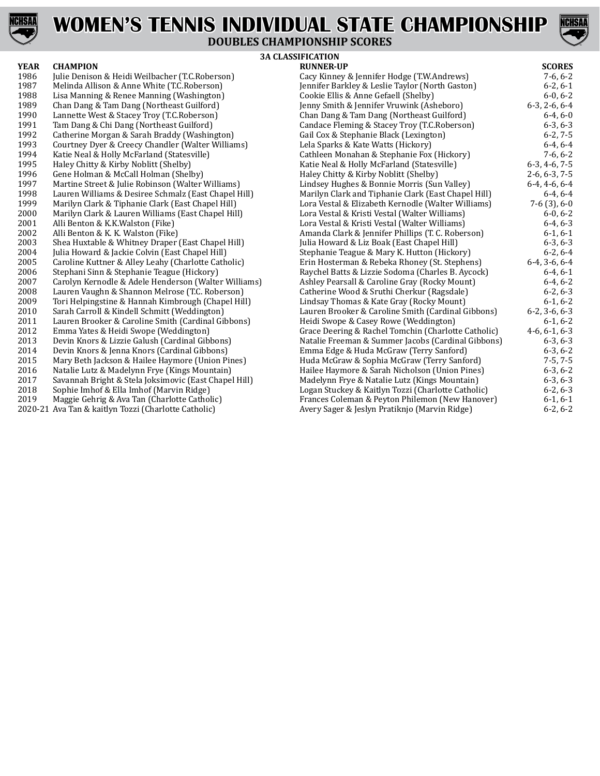



## **DOUBLES CHAMPIONSHIP SCORES**

| <b>YEAR</b> | <b>CHAMPION</b>                                       | <b>RUNNER-UP</b>                                    | <b>SCORES</b>   |
|-------------|-------------------------------------------------------|-----------------------------------------------------|-----------------|
| 1986        | Julie Denison & Heidi Weilbacher (T.C.Roberson)       | Cacy Kinney & Jennifer Hodge (T.W.Andrews)          | $7-6, 6-2$      |
| 1987        | Melinda Allison & Anne White (T.C.Roberson)           | Jennifer Barkley & Leslie Taylor (North Gaston)     | $6-2, 6-1$      |
| 1988        | Lisa Manning & Renee Manning (Washington)             | Cookie Ellis & Anne Gefaell (Shelby)                | $6-0, 6-2$      |
| 1989        | Chan Dang & Tam Dang (Northeast Guilford)             | Jenny Smith & Jennifer Vruwink (Asheboro)           | $6-3, 2-6, 6-4$ |
| 1990        | Lannette West & Stacey Troy (T.C.Roberson)            | Chan Dang & Tam Dang (Northeast Guilford)           | $6-4, 6-0$      |
| 1991        | Tam Dang & Chi Dang (Northeast Guilford)              | Candace Fleming & Stacey Troy (T.C.Roberson)        | $6-3, 6-3$      |
| 1992        | Catherine Morgan & Sarah Braddy (Washington)          | Gail Cox & Stephanie Black (Lexington)              | $6-2, 7-5$      |
| 1993        | Courtney Dyer & Creecy Chandler (Walter Williams)     | Lela Sparks & Kate Watts (Hickory)                  | $6-4, 6-4$      |
| 1994        | Katie Neal & Holly McFarland (Statesville)            | Cathleen Monahan & Stephanie Fox (Hickory)          | $7-6, 6-2$      |
| 1995        | Haley Chitty & Kirby Noblitt (Shelby)                 | Katie Neal & Holly McFarland (Statesville)          | $6-3, 4-6, 7-5$ |
| 1996        | Gene Holman & McCall Holman (Shelby)                  | Haley Chitty & Kirby Noblitt (Shelby)               | $2-6, 6-3, 7-5$ |
| 1997        | Martine Street & Julie Robinson (Walter Williams)     | Lindsey Hughes & Bonnie Morris (Sun Valley)         | $6-4, 4-6, 6-4$ |
| 1998        | Lauren Williams & Desiree Schmalz (East Chapel Hill)  | Marilyn Clark and Tiphanie Clark (East Chapel Hill) | $6-4, 6-4$      |
| 1999        | Marilyn Clark & Tiphanie Clark (East Chapel Hill)     | Lora Vestal & Elizabeth Kernodle (Walter Williams)  | $7-6(3), 6-0$   |
| 2000        | Marilyn Clark & Lauren Williams (East Chapel Hill)    | Lora Vestal & Kristi Vestal (Walter Williams)       | $6-0, 6-2$      |
| 2001        | Alli Benton & K.K. Walston (Fike)                     | Lora Vestal & Kristi Vestal (Walter Williams)       | $6-4, 6-3$      |
| 2002        | Alli Benton & K. K. Walston (Fike)                    | Amanda Clark & Jennifer Phillips (T. C. Roberson)   | $6-1, 6-1$      |
| 2003        | Shea Huxtable & Whitney Draper (East Chapel Hill)     | Julia Howard & Liz Boak (East Chapel Hill)          | $6-3, 6-3$      |
| 2004        | Julia Howard & Jackie Colvin (East Chapel Hill)       | Stephanie Teague & Mary K. Hutton (Hickory)         | $6-2, 6-4$      |
| 2005        | Caroline Kuttner & Alley Leahy (Charlotte Catholic)   | Erin Hosterman & Rebeka Rhoney (St. Stephens)       | $6-4, 3-6, 6-4$ |
| 2006        | Stephani Sinn & Stephanie Teague (Hickory)            | Raychel Batts & Lizzie Sodoma (Charles B. Aycock)   | $6-4, 6-1$      |
| 2007        | Carolyn Kernodle & Adele Henderson (Walter Williams)  | Ashley Pearsall & Caroline Gray (Rocky Mount)       | $6-4, 6-2$      |
| 2008        | Lauren Vaughn & Shannon Melrose (T.C. Roberson)       | Catherine Wood & Sruthi Cherkur (Ragsdale)          | $6-2, 6-3$      |
| 2009        | Tori Helpingstine & Hannah Kimbrough (Chapel Hill)    | Lindsay Thomas & Kate Gray (Rocky Mount)            | $6-1, 6-2$      |
| 2010        | Sarah Carroll & Kindell Schmitt (Weddington)          | Lauren Brooker & Caroline Smith (Cardinal Gibbons)  | $6-2, 3-6, 6-3$ |
| 2011        | Lauren Brooker & Caroline Smith (Cardinal Gibbons)    | Heidi Swope & Casey Rowe (Weddington)               | $6-1, 6-2$      |
| 2012        | Emma Yates & Heidi Swope (Weddington)                 | Grace Deering & Rachel Tomchin (Charlotte Catholic) | $4-6, 6-1, 6-3$ |
| 2013        | Devin Knors & Lizzie Galush (Cardinal Gibbons)        | Natalie Freeman & Summer Jacobs (Cardinal Gibbons)  | $6-3, 6-3$      |
| 2014        | Devin Knors & Jenna Knors (Cardinal Gibbons)          | Emma Edge & Huda McGraw (Terry Sanford)             | $6-3, 6-2$      |
| 2015        | Mary Beth Jackson & Hailee Haymore (Union Pines)      | Huda McGraw & Sophia McGraw (Terry Sanford)         | $7-5, 7-5$      |
| 2016        | Natalie Lutz & Madelynn Frye (Kings Mountain)         | Hailee Haymore & Sarah Nicholson (Union Pines)      | $6-3, 6-2$      |
| 2017        | Savannah Bright & Stela Joksimovic (East Chapel Hill) | Madelynn Frye & Natalie Lutz (Kings Mountain)       | $6-3, 6-3$      |
| 2018        | Sophie Imhof & Ella Imhof (Marvin Ridge)              | Logan Stuckey & Kaitlyn Tozzi (Charlotte Catholic)  | $6-2, 6-3$      |
| 2019        | Maggie Gehrig & Ava Tan (Charlotte Catholic)          | Frances Coleman & Peyton Philemon (New Hanover)     | $6-1, 6-1$      |
|             | 2020-21 Ava Tan & kaitlyn Tozzi (Charlotte Catholic)  | Avery Sager & Jeslyn Pratiknio (Maryin Ridge)       | $6-2.6-2$       |

| YEAR | <b>CHAMPION</b>                                       | <b>RUNNER-UP</b>                                    | <b>SCORES</b>   |
|------|-------------------------------------------------------|-----------------------------------------------------|-----------------|
| 1986 | Julie Denison & Heidi Weilbacher (T.C.Roberson)       | Cacy Kinney & Jennifer Hodge (T.W.Andrews)          | $7-6, 6-2$      |
| 1987 | Melinda Allison & Anne White (T.C.Roberson)           | Jennifer Barkley & Leslie Taylor (North Gaston)     | $6-2, 6-1$      |
| 1988 | Lisa Manning & Renee Manning (Washington)             | Cookie Ellis & Anne Gefaell (Shelby)                | $6-0, 6-2$      |
| 1989 | Chan Dang & Tam Dang (Northeast Guilford)             | Jenny Smith & Jennifer Vruwink (Asheboro)           | $6-3, 2-6, 6-4$ |
| 1990 | Lannette West & Stacey Troy (T.C.Roberson)            | Chan Dang & Tam Dang (Northeast Guilford)           | $6-4, 6-0$      |
| 1991 | Tam Dang & Chi Dang (Northeast Guilford)              | Candace Fleming & Stacey Troy (T.C.Roberson)        | $6-3, 6-3$      |
| 1992 | Catherine Morgan & Sarah Braddy (Washington)          | Gail Cox & Stephanie Black (Lexington)              | $6-2, 7-5$      |
| 1993 | Courtney Dyer & Creecy Chandler (Walter Williams)     | Lela Sparks & Kate Watts (Hickory)                  | $6-4, 6-4$      |
| 1994 | Katie Neal & Holly McFarland (Statesville)            | Cathleen Monahan & Stephanie Fox (Hickory)          | $7-6, 6-2$      |
| 1995 | Haley Chitty & Kirby Noblitt (Shelby)                 | Katie Neal & Holly McFarland (Statesville)          | $6-3, 4-6, 7-5$ |
| 1996 | Gene Holman & McCall Holman (Shelby)                  | Haley Chitty & Kirby Noblitt (Shelby)               | $2-6, 6-3, 7-5$ |
| 1997 | Martine Street & Julie Robinson (Walter Williams)     | Lindsey Hughes & Bonnie Morris (Sun Valley)         | $6-4, 4-6, 6-4$ |
| 1998 | Lauren Williams & Desiree Schmalz (East Chapel Hill)  | Marilyn Clark and Tiphanie Clark (East Chapel Hill) | $6-4, 6-4$      |
| 1999 | Marilyn Clark & Tiphanie Clark (East Chapel Hill)     | Lora Vestal & Elizabeth Kernodle (Walter Williams)  | $7-6(3), 6-0$   |
| 2000 | Marilyn Clark & Lauren Williams (East Chapel Hill)    | Lora Vestal & Kristi Vestal (Walter Williams)       | $6-0, 6-2$      |
| 2001 | Alli Benton & K.K.Walston (Fike)                      | Lora Vestal & Kristi Vestal (Walter Williams)       | $6-4, 6-3$      |
| 2002 | Alli Benton & K. K. Walston (Fike)                    | Amanda Clark & Jennifer Phillips (T. C. Roberson)   | $6-1, 6-1$      |
| 2003 | Shea Huxtable & Whitney Draper (East Chapel Hill)     | Julia Howard & Liz Boak (East Chapel Hill)          | $6-3, 6-3$      |
| 2004 | Julia Howard & Jackie Colvin (East Chapel Hill)       | Stephanie Teague & Mary K. Hutton (Hickory)         | $6-2, 6-4$      |
| 2005 | Caroline Kuttner & Alley Leahy (Charlotte Catholic)   | Erin Hosterman & Rebeka Rhoney (St. Stephens)       | $6-4, 3-6, 6-4$ |
| 2006 | Stephani Sinn & Stephanie Teague (Hickory)            | Raychel Batts & Lizzie Sodoma (Charles B. Aycock)   | $6-4, 6-1$      |
| 2007 | Carolyn Kernodle & Adele Henderson (Walter Williams)  | Ashley Pearsall & Caroline Gray (Rocky Mount)       | $6-4, 6-2$      |
| 2008 | Lauren Vaughn & Shannon Melrose (T.C. Roberson)       | Catherine Wood & Sruthi Cherkur (Ragsdale)          | $6-2, 6-3$      |
| 2009 | Tori Helpingstine & Hannah Kimbrough (Chapel Hill)    | Lindsay Thomas & Kate Gray (Rocky Mount)            | $6-1, 6-2$      |
| 2010 | Sarah Carroll & Kindell Schmitt (Weddington)          | Lauren Brooker & Caroline Smith (Cardinal Gibbons)  | $6-2, 3-6, 6-3$ |
| 2011 | Lauren Brooker & Caroline Smith (Cardinal Gibbons)    | Heidi Swope & Casey Rowe (Weddington)               | $6-1, 6-2$      |
| 2012 | Emma Yates & Heidi Swope (Weddington)                 | Grace Deering & Rachel Tomchin (Charlotte Catholic) | $4-6, 6-1, 6-3$ |
| 2013 | Devin Knors & Lizzie Galush (Cardinal Gibbons)        | Natalie Freeman & Summer Jacobs (Cardinal Gibbons)  | $6-3, 6-3$      |
| 2014 | Devin Knors & Jenna Knors (Cardinal Gibbons)          | Emma Edge & Huda McGraw (Terry Sanford)             | $6-3, 6-2$      |
| 2015 | Mary Beth Jackson & Hailee Haymore (Union Pines)      | Huda McGraw & Sophia McGraw (Terry Sanford)         | $7-5, 7-5$      |
| 2016 | Natalie Lutz & Madelynn Frye (Kings Mountain)         | Hailee Haymore & Sarah Nicholson (Union Pines)      | $6-3, 6-2$      |
| 2017 | Savannah Bright & Stela Joksimovic (East Chapel Hill) | Madelynn Frye & Natalie Lutz (Kings Mountain)       | $6-3, 6-3$      |
| 2018 | Sophie Imhof & Ella Imhof (Marvin Ridge)              | Logan Stuckey & Kaitlyn Tozzi (Charlotte Catholic)  | $6-2, 6-3$      |
| 2019 | Maggie Gehrig & Ava Tan (Charlotte Catholic)          | Frances Coleman & Peyton Philemon (New Hanover)     | $6-1, 6-1$      |
|      | 2020-21 Ava Tan & kaitlyn Tozzi (Charlotte Catholic)  | Avery Sager & Jeslyn Pratiknjo (Marvin Ridge)       | $6-2, 6-2$      |
|      |                                                       |                                                     |                 |